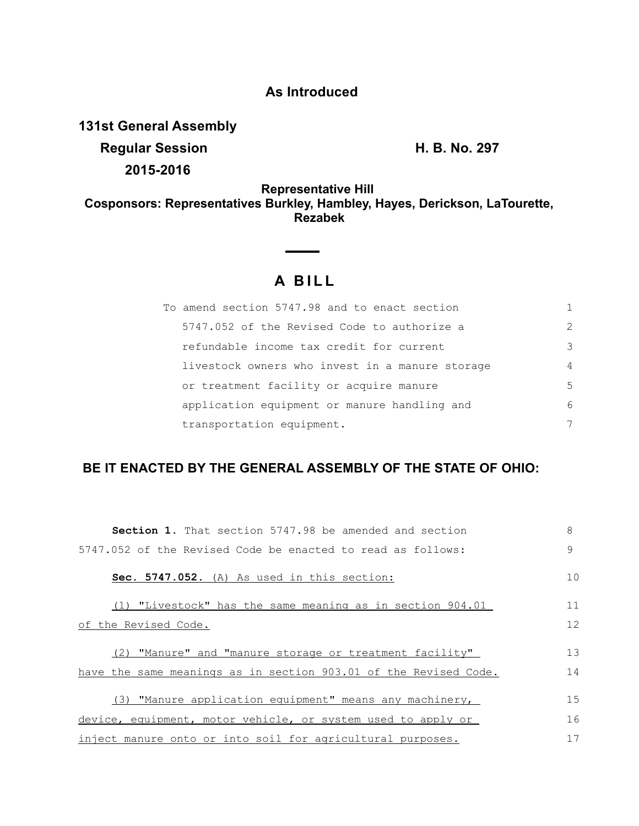## **As Introduced**

**131st General Assembly Regular Session H. B. No. 297 2015-2016**

**Representative Hill Cosponsors: Representatives Burkley, Hambley, Hayes, Derickson, LaTourette, Rezabek**

# **A B I L L**

| To amend section 5747.98 and to enact section   |               |
|-------------------------------------------------|---------------|
| 5747.052 of the Revised Code to authorize a     | $\mathcal{P}$ |
| refundable income tax credit for current        | 3             |
| livestock owners who invest in a manure storage | 4             |
| or treatment facility or acquire manure         | 5             |
| application equipment or manure handling and    | 6             |
| transportation equipment.                       | 7             |

### **BE IT ENACTED BY THE GENERAL ASSEMBLY OF THE STATE OF OHIO:**

| <b>Section 1.</b> That section 5747.98 be amended and section    | 8            |
|------------------------------------------------------------------|--------------|
| 5747.052 of the Revised Code be enacted to read as follows:      | $\mathsf{Q}$ |
| Sec. 5747.052. (A) As used in this section:                      | 10           |
| $(1)$ "Livestock" has the same meaning as in section 904.01      | 11           |
| of the Revised Code.                                             | 12           |
| (2) "Manure" and "manure storage or treatment facility"          | 13           |
| have the same meanings as in section 903.01 of the Revised Code. | 14           |
| (3) "Manure application equipment" means any machinery,          | 15           |
| device, equipment, motor vehicle, or system used to apply or     | 16           |
| inject manure onto or into soil for agricultural purposes.       | 17           |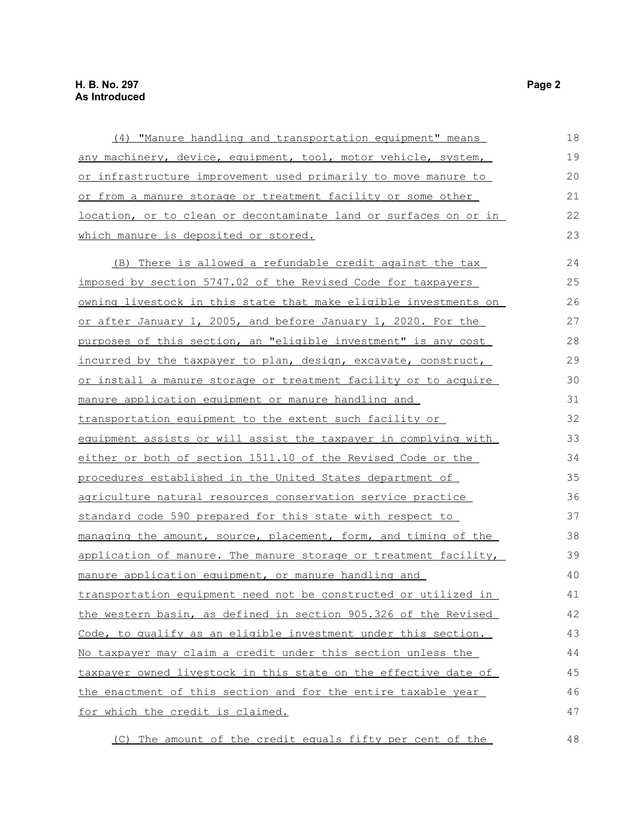| (4) "Manure handling and transportation equipment" means                | 18 |
|-------------------------------------------------------------------------|----|
| any machinery, device, equipment, tool, motor vehicle, system,          | 19 |
| or infrastructure improvement used primarily to move manure to          | 20 |
| or from a manure storage or treatment facility or some other            | 21 |
| location, or to clean or decontaminate land or surfaces on or in        | 22 |
| which manure is deposited or stored.                                    | 23 |
| (B) There is allowed a refundable credit against the tax                | 24 |
| imposed by section 5747.02 of the Revised Code for taxpayers            | 25 |
| <u>owning livestock in this state that make eligible investments on</u> | 26 |
| or after January 1, 2005, and before January 1, 2020. For the           | 27 |
| purposes of this section, an "eligible investment" is any cost          | 28 |
| incurred by the taxpayer to plan, design, excavate, construct,          | 29 |
| or install a manure storage or treatment facility or to acquire         | 30 |
| <u>manure application equipment or manure handling and</u>              | 31 |
| <u>transportation equipment to the extent such facility or </u>         | 32 |
| equipment assists or will assist the taxpayer in complying with         | 33 |
| either or both of section 1511.10 of the Revised Code or the            | 34 |
| procedures established in the United States department of               | 35 |
| agriculture natural resources conservation service practice             | 36 |
| standard code 590 prepared for this state with respect to               | 37 |
| managing the amount, source, placement, form, and timing of the         | 38 |
| application of manure. The manure storage or treatment facility,        | 39 |
| manure application equipment, or manure handling and                    | 40 |
| transportation equipment need not be constructed or utilized in         | 41 |
| the western basin, as defined in section 905.326 of the Revised         | 42 |
| Code, to qualify as an eligible investment under this section.          | 43 |
| No taxpayer may claim a credit under this section unless the            | 44 |
| taxpayer owned livestock in this state on the effective date of         | 45 |
| the enactment of this section and for the entire taxable year           | 46 |
| <u>for which the credit is claimed.</u>                                 | 47 |

(C) The amount of the credit equals fifty per cent of the 48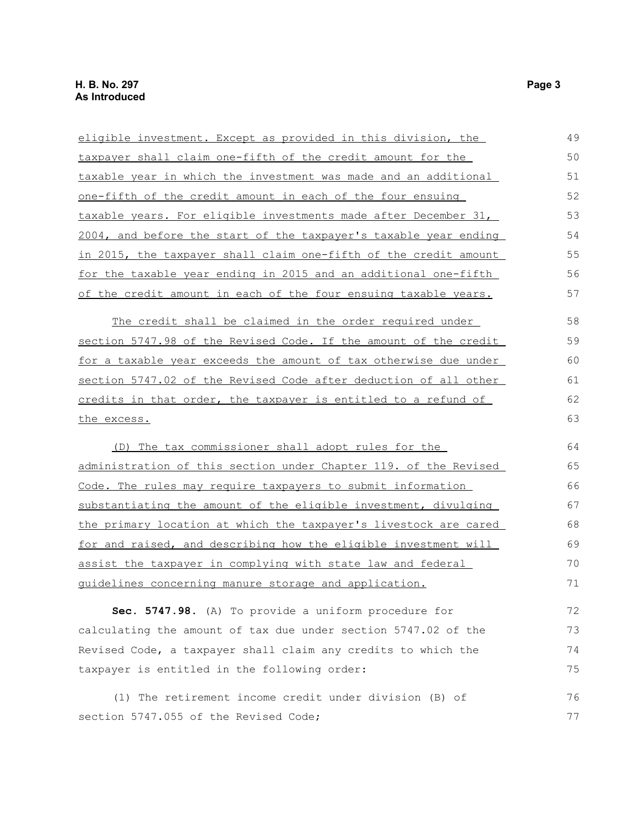| eligible investment. Except as provided in this division, the           | 49 |
|-------------------------------------------------------------------------|----|
| taxpayer shall claim one-fifth of the credit amount for the             | 50 |
| taxable year in which the investment was made and an additional         | 51 |
| <u>one-fifth of the credit amount in each of the four ensuing</u>       | 52 |
| taxable years. For eligible investments made after December 31,         | 53 |
| 2004, and before the start of the taxpayer's taxable year ending        | 54 |
| in 2015, the taxpayer shall claim one-fifth of the credit amount        | 55 |
| for the taxable year ending in 2015 and an additional one-fifth         | 56 |
| of the credit amount in each of the four ensuing taxable years.         | 57 |
| The credit shall be claimed in the order required under                 | 58 |
| section 5747.98 of the Revised Code. If the amount of the credit        | 59 |
| <u>for a taxable year exceeds the amount of tax otherwise due under</u> | 60 |
| section 5747.02 of the Revised Code after deduction of all other        | 61 |
| credits in that order, the taxpayer is entitled to a refund of          | 62 |
| the excess.                                                             | 63 |
| (D) The tax commissioner shall adopt rules for the                      | 64 |
| administration of this section under Chapter 119. of the Revised        | 65 |
| Code. The rules may require taxpayers to submit information             | 66 |
| substantiating the amount of the eligible investment, divulging         | 67 |
| <u>the primary location at which the taxpayer's livestock are cared</u> | 68 |
| for and raised, and describing how the eligible investment will         | 69 |
| assist the taxpayer in complying with state law and federal             | 70 |
| <u>quidelines concerning manure storage and application.</u>            | 71 |
| Sec. 5747.98. (A) To provide a uniform procedure for                    | 72 |
| calculating the amount of tax due under section 5747.02 of the          | 73 |
| Revised Code, a taxpayer shall claim any credits to which the           | 74 |
| taxpayer is entitled in the following order:                            | 75 |
| (1) The retirement income credit under division (B) of                  | 76 |
| section 5747.055 of the Revised Code;                                   | 77 |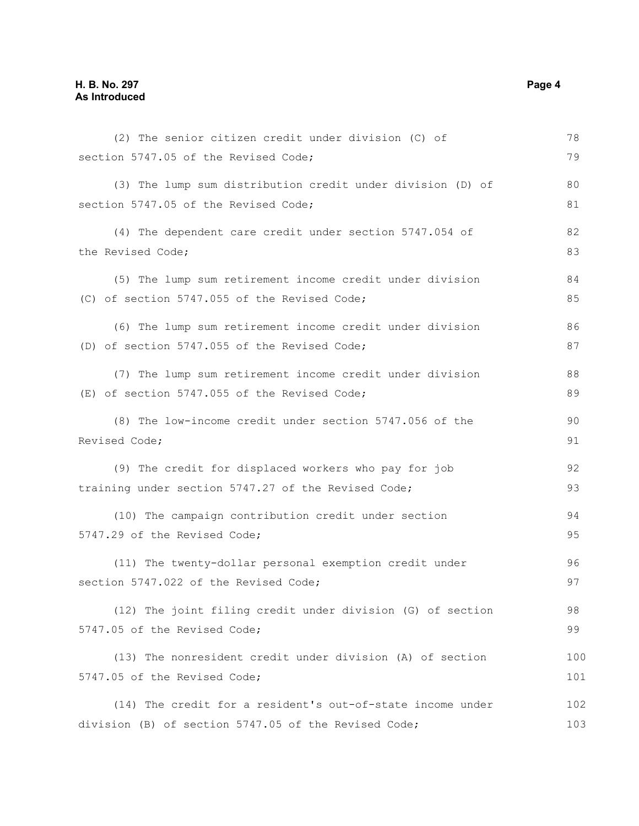#### **H. B. No. 297 Page 4 As Introduced**

| (2) The senior citizen credit under division (C) of        | 78  |
|------------------------------------------------------------|-----|
| section 5747.05 of the Revised Code;                       | 79  |
| (3) The lump sum distribution credit under division (D) of | 80  |
| section 5747.05 of the Revised Code;                       | 81  |
| (4) The dependent care credit under section 5747.054 of    | 82  |
| the Revised Code;                                          | 83  |
| (5) The lump sum retirement income credit under division   | 84  |
| (C) of section 5747.055 of the Revised Code;               | 85  |
| (6) The lump sum retirement income credit under division   | 86  |
| (D) of section 5747.055 of the Revised Code;               | 87  |
| (7) The lump sum retirement income credit under division   | 88  |
| (E) of section 5747.055 of the Revised Code;               | 89  |
| (8) The low-income credit under section 5747.056 of the    | 90  |
| Revised Code;                                              |     |
| (9) The credit for displaced workers who pay for job       | 92  |
| training under section 5747.27 of the Revised Code;        | 93  |
| (10) The campaign contribution credit under section        | 94  |
| 5747.29 of the Revised Code;                               | 95  |
| (11) The twenty-dollar personal exemption credit under     | 96  |
| section 5747.022 of the Revised Code;                      | 97  |
| (12) The joint filing credit under division (G) of section | 98  |
| 5747.05 of the Revised Code;                               | 99  |
| (13) The nonresident credit under division (A) of section  | 100 |
| 5747.05 of the Revised Code;                               | 101 |
| (14) The credit for a resident's out-of-state income under | 102 |
| division (B) of section 5747.05 of the Revised Code;       | 103 |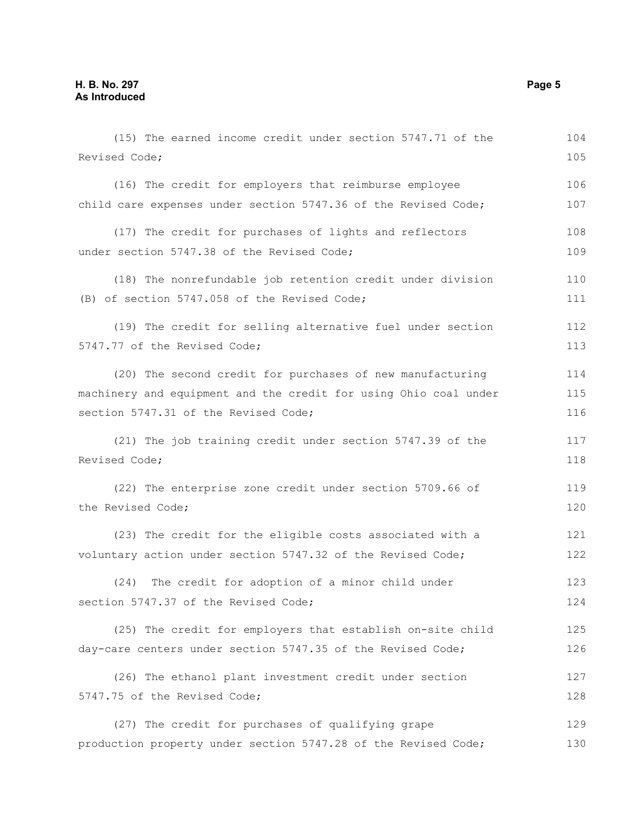(15) The earned income credit under section 5747.71 of the Revised Code; (16) The credit for employers that reimburse employee child care expenses under section 5747.36 of the Revised Code; (17) The credit for purchases of lights and reflectors under section 5747.38 of the Revised Code; (18) The nonrefundable job retention credit under division (B) of section 5747.058 of the Revised Code; (19) The credit for selling alternative fuel under section 5747.77 of the Revised Code; (20) The second credit for purchases of new manufacturing machinery and equipment and the credit for using Ohio coal under section 5747.31 of the Revised Code; (21) The job training credit under section 5747.39 of the Revised Code; (22) The enterprise zone credit under section 5709.66 of the Revised Code; (23) The credit for the eligible costs associated with a voluntary action under section 5747.32 of the Revised Code; (24) The credit for adoption of a minor child under section 5747.37 of the Revised Code; (25) The credit for employers that establish on-site child day-care centers under section 5747.35 of the Revised Code; (26) The ethanol plant investment credit under section 5747.75 of the Revised Code; (27) The credit for purchases of qualifying grape production property under section 5747.28 of the Revised Code; 104 105 106 107 108 109 110 111 112 113 114 115 116 117 118 119 120 121 122 123 124 125 126 127 128 129 130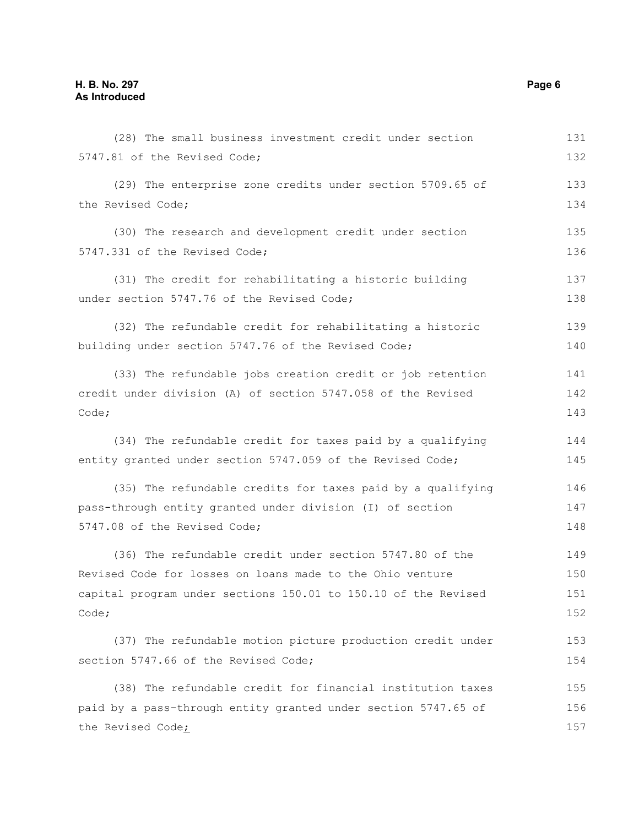| (28) The small business investment credit under section        | 131 |
|----------------------------------------------------------------|-----|
| 5747.81 of the Revised Code;                                   | 132 |
| (29) The enterprise zone credits under section 5709.65 of      | 133 |
| the Revised Code;                                              | 134 |
| (30) The research and development credit under section         | 135 |
| 5747.331 of the Revised Code;                                  | 136 |
| (31) The credit for rehabilitating a historic building         | 137 |
| under section 5747.76 of the Revised Code;                     | 138 |
| (32) The refundable credit for rehabilitating a historic       | 139 |
| building under section 5747.76 of the Revised Code;            | 140 |
| (33) The refundable jobs creation credit or job retention      | 141 |
| credit under division (A) of section 5747.058 of the Revised   |     |
| Code;                                                          | 143 |
| (34) The refundable credit for taxes paid by a qualifying      | 144 |
| entity granted under section 5747.059 of the Revised Code;     | 145 |
| (35) The refundable credits for taxes paid by a qualifying     | 146 |
| pass-through entity granted under division (I) of section      | 147 |
| 5747.08 of the Revised Code;                                   | 148 |
| (36) The refundable credit under section 5747.80 of the        | 149 |
| Revised Code for losses on loans made to the Ohio venture      | 150 |
| capital program under sections 150.01 to 150.10 of the Revised | 151 |
| Code;                                                          | 152 |
| (37) The refundable motion picture production credit under     | 153 |
| section 5747.66 of the Revised Code;                           | 154 |
| (38) The refundable credit for financial institution taxes     | 155 |
| paid by a pass-through entity granted under section 5747.65 of | 156 |
| the Revised Code;                                              | 157 |